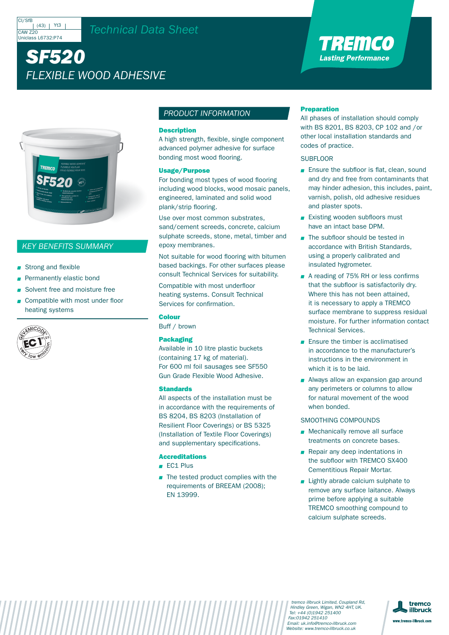#### CI/SfE  $(43)$  | Yt3  $C$ AW  $720$ Uniclass L6732:P74

## *Technical Data Sheet*

# *SF520 FLEXIBLE WOOD ADHESIVE*



### *KEY BENEFITS SUMMARY*

- Strong and flexible
- **Permanently elastic bond**
- Solvent free and moisture free
- Compatible with most under floor heating systems



#### *PRODUCT INFORMATION*

#### **Description**

A high strength, flexible, single component advanced polymer adhesive for surface bonding most wood flooring.

#### Usage/Purpose

For bonding most types of wood flooring including wood blocks, wood mosaic panels, engineered, laminated and solid wood plank/strip flooring.

Use over most common substrates, sand/cement screeds, concrete, calcium sulphate screeds, stone, metal, timber and epoxy membranes.

Not suitable for wood flooring with bitumen based backings. For other surfaces please consult Technical Services for suitability.

Compatible with most underfloor heating systems. Consult Technical Services for confirmation.

#### Colour

Buff / brown

#### Packaging

Available in 10 litre plastic buckets (containing 17 kg of material). For 600 ml foil sausages see SF550 Gun Grade Flexible Wood Adhesive.

#### **Standards**

All aspects of the installation must be in accordance with the requirements of BS 8204, BS 8203 (Installation of Resilient Floor Coverings) or BS 5325 (Installation of Textile Floor Coverings) and supplementary specifications.

#### Accreditations

- **FC1 Plus**
- $\blacksquare$  The tested product complies with the requirements of BREEAM (2008); EN 13999.

#### Preparation

All phases of installation should comply with BS 8201, BS 8203, CP 102 and /or other local installation standards and codes of practice.

TRENCO **Lasting Performance** 

#### **SUBFLOOR**

- **Ensure the subfloor is flat, clean, sound** and dry and free from contaminants that may hinder adhesion, this includes, paint, varnish, polish, old adhesive residues and plaster spots.
- **Existing wooden subfloors must** have an intact base DPM.
- The subfloor should be tested in accordance with British Standards, using a properly calibrated and insulated hygrometer.
- A reading of 75% RH or less confirms that the subfloor is satisfactorily dry. Where this has not been attained, it is necessary to apply a TREMCO surface membrane to suppress residual moisture. For further information contact Technical Services.
- **Ensure the timber is acclimatised** in accordance to the manufacturer's instructions in the environment in which it is to be laid.
- Always allow an expansion gap around any perimeters or columns to allow for natural movement of the wood when bonded.

#### SMOOTHING COMPOUNDS

- **Mechanically remove all surface** treatments on concrete bases.
- Repair any deep indentations in the subfloor with TREMCO SX400 Cementitious Repair Mortar.
- **Lightly abrade calcium sulphate to** remove any surface laitance. Always prime before applying a suitable TREMCO smoothing compound to calcium sulphate screeds.